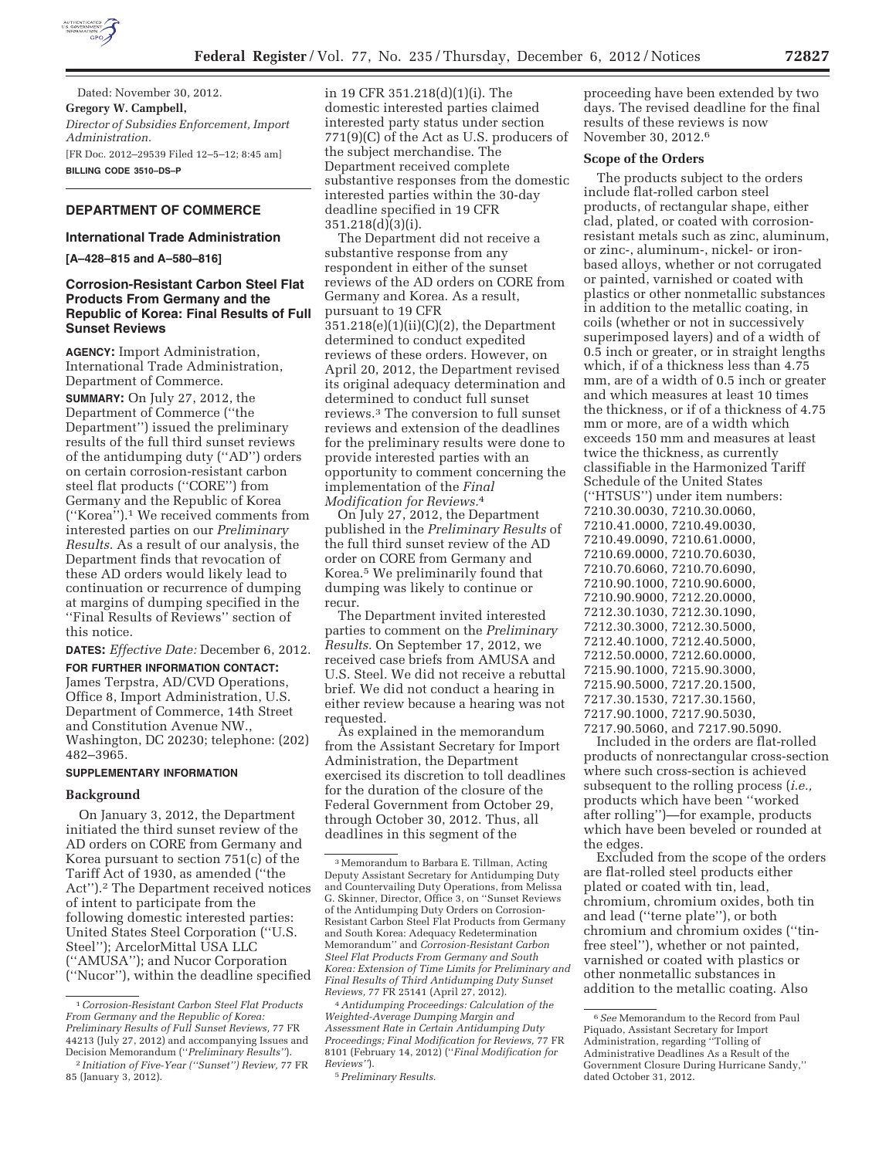

Dated: November 30, 2012. **Gregory W. Campbell,**  *Director of Subsidies Enforcement, Import Administration.*  [FR Doc. 2012–29539 Filed 12–5–12; 8:45 am] **BILLING CODE 3510–DS–P** 

# **DEPARTMENT OF COMMERCE**

#### **International Trade Administration**

**[A–428–815 and A–580–816]** 

## **Corrosion-Resistant Carbon Steel Flat Products From Germany and the Republic of Korea: Final Results of Full Sunset Reviews**

**AGENCY:** Import Administration, International Trade Administration, Department of Commerce.

**SUMMARY:** On July 27, 2012, the Department of Commerce (''the Department'') issued the preliminary results of the full third sunset reviews of the antidumping duty (''AD'') orders on certain corrosion-resistant carbon steel flat products (''CORE'') from Germany and the Republic of Korea (''Korea'').1 We received comments from interested parties on our *Preliminary Results.* As a result of our analysis, the Department finds that revocation of these AD orders would likely lead to continuation or recurrence of dumping at margins of dumping specified in the ''Final Results of Reviews'' section of this notice.

**DATES:** *Effective Date:* December 6, 2012.

**FOR FURTHER INFORMATION CONTACT:**  James Terpstra, AD/CVD Operations, Office 8, Import Administration, U.S. Department of Commerce, 14th Street and Constitution Avenue NW., Washington, DC 20230; telephone: (202) 482–3965.

# **SUPPLEMENTARY INFORMATION**

#### **Background**

On January 3, 2012, the Department initiated the third sunset review of the AD orders on CORE from Germany and Korea pursuant to section 751(c) of the Tariff Act of 1930, as amended (''the Act'').2 The Department received notices of intent to participate from the following domestic interested parties: United States Steel Corporation (''U.S. Steel"); ArcelorMittal USA LLC (''AMUSA''); and Nucor Corporation (''Nucor''), within the deadline specified in 19 CFR 351.218(d)(1)(i). The domestic interested parties claimed interested party status under section 771(9)(C) of the Act as U.S. producers of the subject merchandise. The Department received complete substantive responses from the domestic interested parties within the 30-day deadline specified in 19 CFR 351.218(d)(3)(i).

The Department did not receive a substantive response from any respondent in either of the sunset reviews of the AD orders on CORE from Germany and Korea. As a result, pursuant to 19 CFR 351.218(e)(1)(ii)(C)(2), the Department determined to conduct expedited reviews of these orders. However, on April 20, 2012, the Department revised its original adequacy determination and determined to conduct full sunset reviews.3 The conversion to full sunset reviews and extension of the deadlines for the preliminary results were done to provide interested parties with an opportunity to comment concerning the implementation of the *Final Modification for Reviews.*4

On July 27, 2012, the Department published in the *Preliminary Results* of the full third sunset review of the AD order on CORE from Germany and Korea.5 We preliminarily found that dumping was likely to continue or recur.

The Department invited interested parties to comment on the *Preliminary Results.* On September 17, 2012, we received case briefs from AMUSA and U.S. Steel. We did not receive a rebuttal brief. We did not conduct a hearing in either review because a hearing was not requested.

As explained in the memorandum from the Assistant Secretary for Import Administration, the Department exercised its discretion to toll deadlines for the duration of the closure of the Federal Government from October 29, through October 30, 2012. Thus, all deadlines in this segment of the

proceeding have been extended by two days. The revised deadline for the final results of these reviews is now November 30, 2012.6

#### **Scope of the Orders**

The products subject to the orders include flat-rolled carbon steel products, of rectangular shape, either clad, plated, or coated with corrosionresistant metals such as zinc, aluminum, or zinc-, aluminum-, nickel- or ironbased alloys, whether or not corrugated or painted, varnished or coated with plastics or other nonmetallic substances in addition to the metallic coating, in coils (whether or not in successively superimposed layers) and of a width of 0.5 inch or greater, or in straight lengths which, if of a thickness less than 4.75 mm, are of a width of 0.5 inch or greater and which measures at least 10 times the thickness, or if of a thickness of 4.75 mm or more, are of a width which exceeds 150 mm and measures at least twice the thickness, as currently classifiable in the Harmonized Tariff Schedule of the United States (''HTSUS'') under item numbers: 7210.30.0030, 7210.30.0060, 7210.41.0000, 7210.49.0030, 7210.49.0090, 7210.61.0000, 7210.69.0000, 7210.70.6030, 7210.70.6060, 7210.70.6090, 7210.90.1000, 7210.90.6000, 7210.90.9000, 7212.20.0000, 7212.30.1030, 7212.30.1090, 7212.30.3000, 7212.30.5000, 7212.40.1000, 7212.40.5000, 7212.50.0000, 7212.60.0000, 7215.90.1000, 7215.90.3000, 7215.90.5000, 7217.20.1500, 7217.30.1530, 7217.30.1560, 7217.90.1000, 7217.90.5030, 7217.90.5060, and 7217.90.5090.

Included in the orders are flat-rolled products of nonrectangular cross-section where such cross-section is achieved subsequent to the rolling process (*i.e.,*  products which have been ''worked after rolling'')—for example, products which have been beveled or rounded at the edges.

Excluded from the scope of the orders are flat-rolled steel products either plated or coated with tin, lead, chromium, chromium oxides, both tin and lead (''terne plate''), or both chromium and chromium oxides (''tinfree steel''), whether or not painted, varnished or coated with plastics or other nonmetallic substances in addition to the metallic coating. Also

<sup>1</sup>*Corrosion-Resistant Carbon Steel Flat Products From Germany and the Republic of Korea: Preliminary Results of Full Sunset Reviews,* 77 FR 44213 (July 27, 2012) and accompanying Issues and Decision Memorandum (''*Preliminary Results''*).

<sup>2</sup> *Initiation of Five-Year (''Sunset'') Review,* 77 FR 85 (January 3, 2012).

<sup>3</sup>Memorandum to Barbara E. Tillman, Acting Deputy Assistant Secretary for Antidumping Duty and Countervailing Duty Operations, from Melissa G. Skinner, Director, Office 3, on ''Sunset Reviews of the Antidumping Duty Orders on Corrosion-Resistant Carbon Steel Flat Products from Germany and South Korea: Adequacy Redetermination Memorandum'' and *Corrosion-Resistant Carbon Steel Flat Products From Germany and South Korea: Extension of Time Limits for Preliminary and Final Results of Third Antidumping Duty Sunset Reviews,* 77 FR 25141 (April 27, 2012).

<sup>4</sup>*Antidumping Proceedings: Calculation of the Weighted-Average Dumping Margin and Assessment Rate in Certain Antidumping Duty Proceedings; Final Modification for Reviews,* 77 FR 8101 (February 14, 2012) (''*Final Modification for Reviews''*).

<sup>5</sup>*Preliminary Results.* 

<sup>6</sup>*See* Memorandum to the Record from Paul Piquado, Assistant Secretary for Import Administration, regarding ''Tolling of Administrative Deadlines As a Result of the Government Closure During Hurricane Sandy,'' dated October 31, 2012.